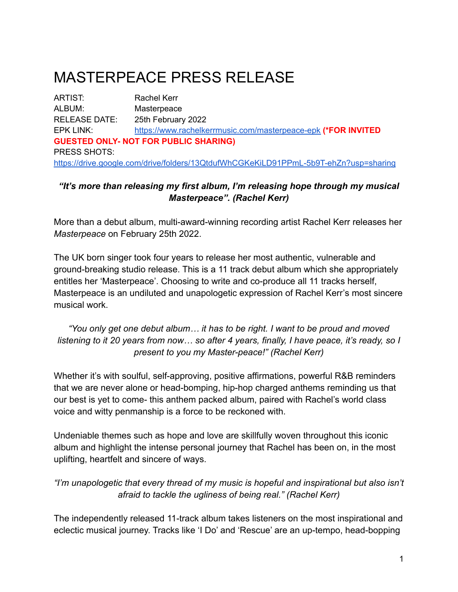# MASTERPEACE PRESS RELEASE

ARTIST: Rachel Kerr ALBUM: Masterpeace RELEASE DATE: 25th February 2022 EPK LINK: <https://www.rachelkerrmusic.com/masterpeace-epk> **(\*FOR INVITED GUESTED ONLY- NOT FOR PUBLIC SHARING)** PRESS SHOTS: <https://drive.google.com/drive/folders/13QtdufWhCGKeKiLD91PPmL-5b9T-ehZn?usp=sharing>

#### *"It's more than releasing my first album, I'm releasing hope through my musical Masterpeace". (Rachel Kerr)*

More than a debut album, multi-award-winning recording artist Rachel Kerr releases her *Masterpeace* on February 25th 2022.

The UK born singer took four years to release her most authentic, vulnerable and ground-breaking studio release. This is a 11 track debut album which she appropriately entitles her 'Masterpeace'. Choosing to write and co-produce all 11 tracks herself, Masterpeace is an undiluted and unapologetic expression of Rachel Kerr's most sincere musical work.

*"You only get one debut album… it has to be right. I want to be proud and moved listening to it 20 years from now… so after 4 years, finally, I have peace, it's ready, so I present to you my Master-peace!" (Rachel Kerr)*

Whether it's with soulful, self-approving, positive affirmations, powerful R&B reminders that we are never alone or head-bomping, hip-hop charged anthems reminding us that our best is yet to come- this anthem packed album, paired with Rachel's world class voice and witty penmanship is a force to be reckoned with.

Undeniable themes such as hope and love are skillfully woven throughout this iconic album and highlight the intense personal journey that Rachel has been on, in the most uplifting, heartfelt and sincere of ways.

*"I'm unapologetic that every thread of my music is hopeful and inspirational but also isn't afraid to tackle the ugliness of being real." (Rachel Kerr)*

The independently released 11-track album takes listeners on the most inspirational and eclectic musical journey. Tracks like 'I Do' and 'Rescue' are an up-tempo, head-bopping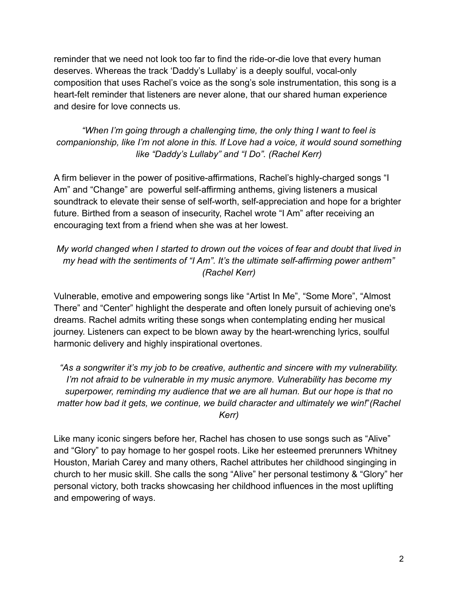reminder that we need not look too far to find the ride-or-die love that every human deserves. Whereas the track 'Daddy's Lullaby' is a deeply soulful, vocal-only composition that uses Rachel's voice as the song's sole instrumentation, this song is a heart-felt reminder that listeners are never alone, that our shared human experience and desire for love connects us.

*"When I'm going through a challenging time, the only thing I want to feel is companionship, like I'm not alone in this. If Love had a voice, it would sound something like "Daddy's Lullaby" and "I Do". (Rachel Kerr)*

A firm believer in the power of positive-affirmations, Rachel's highly-charged songs "I Am" and "Change" are powerful self-affirming anthems, giving listeners a musical soundtrack to elevate their sense of self-worth, self-appreciation and hope for a brighter future. Birthed from a season of insecurity, Rachel wrote "I Am" after receiving an encouraging text from a friend when she was at her lowest.

*My world changed when I started to drown out the voices of fear and doubt that lived in my head with the sentiments of "I Am". It's the ultimate self-affirming power anthem" (Rachel Kerr)*

Vulnerable, emotive and empowering songs like "Artist In Me", "Some More", "Almost There" and "Center" highlight the desperate and often lonely pursuit of achieving one's dreams. Rachel admits writing these songs when contemplating ending her musical journey. Listeners can expect to be blown away by the heart-wrenching lyrics, soulful harmonic delivery and highly inspirational overtones.

*"As a songwriter it's my job to be creative, authentic and sincere with my vulnerability. I'm not afraid to be vulnerable in my music anymore. Vulnerability has become my superpower, reminding my audience that we are all human. But our hope is that no matter how bad it gets, we continue, we build character and ultimately we win!*"*(Rachel Kerr)*

Like many iconic singers before her, Rachel has chosen to use songs such as "Alive" and "Glory" to pay homage to her gospel roots. Like her esteemed prerunners Whitney Houston, Mariah Carey and many others, Rachel attributes her childhood singinging in church to her music skill. She calls the song "Alive" her personal testimony & "Glory" her personal victory, both tracks showcasing her childhood influences in the most uplifting and empowering of ways.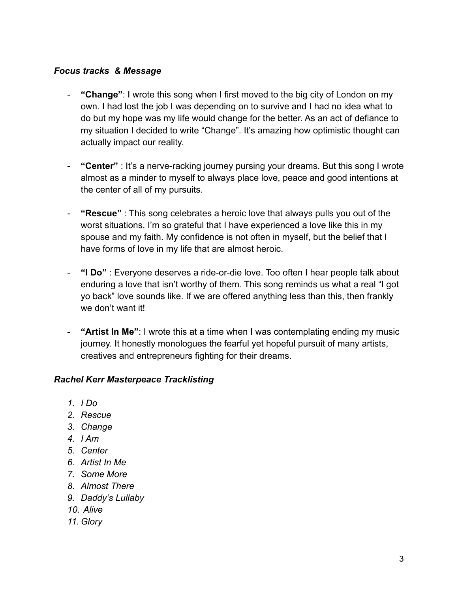#### *Focus tracks & Message*

- **"Change"**: I wrote this song when I first moved to the big city of London on my own. I had lost the job I was depending on to survive and I had no idea what to do but my hope was my life would change for the better. As an act of defiance to my situation I decided to write "Change". It's amazing how optimistic thought can actually impact our reality.
- **"Center"** : It's a nerve-racking journey pursing your dreams. But this song I wrote almost as a minder to myself to always place love, peace and good intentions at the center of all of my pursuits.
- **"Rescue"** : This song celebrates a heroic love that always pulls you out of the worst situations. I'm so grateful that I have experienced a love like this in my spouse and my faith. My confidence is not often in myself, but the belief that I have forms of love in my life that are almost heroic.
- **"I Do"** : Everyone deserves a ride-or-die love. Too often I hear people talk about enduring a love that isn't worthy of them. This song reminds us what a real "I got yo back" love sounds like. If we are offered anything less than this, then frankly we don't want it!
- **"Artist In Me"**: I wrote this at a time when I was contemplating ending my music journey. It honestly monologues the fearful yet hopeful pursuit of many artists, creatives and entrepreneurs fighting for their dreams.

#### *Rachel Kerr Masterpeace Tracklisting*

- *1. I Do*
- *2. Rescue*
- *3. Change*
- *4. I Am*
- *5. Center*
- *6. Artist In Me*
- *7. Some More*
- *8. Almost There*
- *9. Daddy's Lullaby*
- *10. Alive*
- *11. Glory*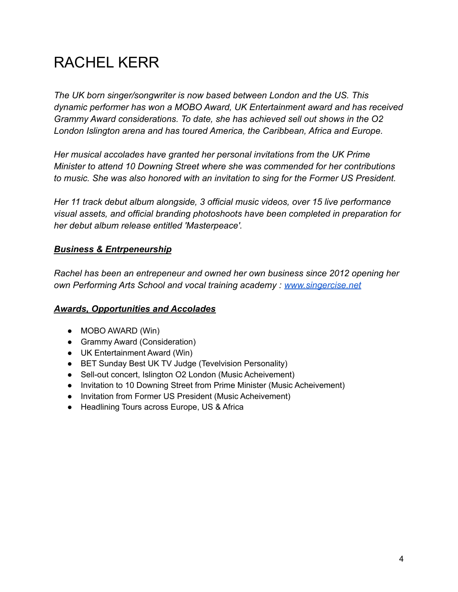# RACHEL KERR

*The UK born singer/songwriter is now based between London and the US. This dynamic performer has won a MOBO Award, UK Entertainment award and has received Grammy Award considerations. To date, she has achieved sell out shows in the O2 London Islington arena and has toured America, the Caribbean, Africa and Europe.*

*Her musical accolades have granted her personal invitations from the UK Prime Minister to attend 10 Downing Street where she was commended for her contributions to music. She was also honored with an invitation to sing for the Former US President.*

*Her 11 track debut album alongside, 3 official music videos, over 15 live performance visual assets, and official branding photoshoots have been completed in preparation for her debut album release entitled 'Masterpeace'.*

#### *Business & Entrpeneurship*

*Rachel has been an entrepeneur and owned her own business since 2012 opening her own Performing Arts School and vocal training academy : [www.singercise.net](http://www.singercise.net)*

#### *Awards, Opportunities and Accolades*

- MOBO AWARD (Win)
- Grammy Award (Consideration)
- UK Entertainment Award (Win)
- BET Sunday Best UK TV Judge (Tevelvision Personality)
- Sell-out concert, Islington O2 London (Music Acheivement)
- Invitation to 10 Downing Street from Prime Minister (Music Acheivement)
- Invitation from Former US President (Music Acheivement)
- Headlining Tours across Europe, US & Africa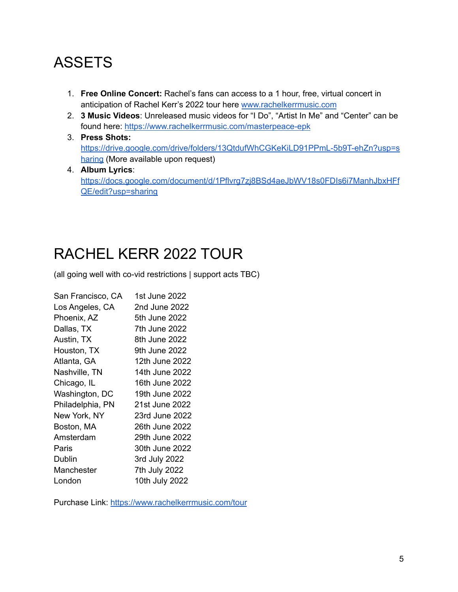### **ASSETS**

- 1. **Free Online Concert:** Rachel's fans can access to a 1 hour, free, virtual concert in anticipation of Rachel Kerr's 2022 tour here [www.rachelkerrmusic.com](http://www.rachelkerrmusic.com)
- 2. **3 Music Videos**: Unreleased music videos for "I Do", "Artist In Me" and "Center" can be found here: <https://www.rachelkerrmusic.com/masterpeace-epk>
- 3. **Press Shots:** [https://drive.google.com/drive/folders/13QtdufWhCGKeKiLD91PPmL-5b9T-ehZn?usp=s](https://drive.google.com/drive/folders/13QtdufWhCGKeKiLD91PPmL-5b9T-ehZn?usp=sharing) [haring](https://drive.google.com/drive/folders/13QtdufWhCGKeKiLD91PPmL-5b9T-ehZn?usp=sharing) (More available upon request)
- 4. **Album Lyrics**: [https://docs.google.com/document/d/1Pflvrg7zj8BSd4aeJbWV18s0FDIs6i7ManhJbxHFf](https://docs.google.com/document/d/1Pflvrg7zj8BSd4aeJbWV18s0FDIs6i7ManhJbxHFfQE/edit?usp=sharing) [QE/edit?usp=sharing](https://docs.google.com/document/d/1Pflvrg7zj8BSd4aeJbWV18s0FDIs6i7ManhJbxHFfQE/edit?usp=sharing)

# RACHEL KERR 2022 TOUR

(all going well with co-vid restrictions | support acts TBC)

| San Francisco, CA | 1st June 2022  |
|-------------------|----------------|
| Los Angeles, CA   | 2nd June 2022  |
| Phoenix, AZ       | 5th June 2022  |
| Dallas, TX        | 7th June 2022  |
| Austin, TX        | 8th June 2022  |
| Houston, TX       | 9th June 2022  |
| Atlanta, GA       | 12th June 2022 |
| Nashville, TN     | 14th June 2022 |
| Chicago, IL       | 16th June 2022 |
| Washington, DC    | 19th June 2022 |
| Philadelphia, PN  | 21st June 2022 |
| New York, NY      | 23rd June 2022 |
| Boston, MA        | 26th June 2022 |
| Amsterdam         | 29th June 2022 |
| Paris             | 30th June 2022 |
| Dublin            | 3rd July 2022  |
| Manchester        | 7th July 2022  |
| London            | 10th July 2022 |

Purchase Link: <https://www.rachelkerrmusic.com/tour>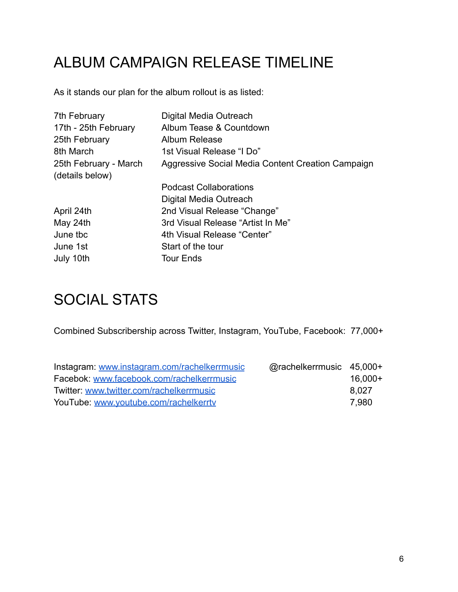# ALBUM CAMPAIGN RELEASE TIMELINE

As it stands our plan for the album rollout is as listed:

| 7th February          | Digital Media Outreach                            |
|-----------------------|---------------------------------------------------|
| 17th - 25th February  | Album Tease & Countdown                           |
| 25th February         | <b>Album Release</b>                              |
| 8th March             | 1st Visual Release "I Do"                         |
| 25th February - March | Aggressive Social Media Content Creation Campaign |
| (details below)       |                                                   |
|                       | <b>Podcast Collaborations</b>                     |
|                       | Digital Media Outreach                            |
| April 24th            | 2nd Visual Release "Change"                       |
| May 24th              | 3rd Visual Release "Artist In Me"                 |
| June tbc              | 4th Visual Release "Center"                       |
| June 1st              | Start of the tour                                 |
| July 10th             | <b>Tour Ends</b>                                  |

### SOCIAL STATS

Combined Subscribership across Twitter, Instagram, YouTube, Facebook: 77,000+

| Instagram: www.instagram.com/rachelkerrmusic | @rachelkerrmusic 45,000+ |         |
|----------------------------------------------|--------------------------|---------|
| Facebok: www.facebook.com/rachelkerrmusic    |                          | 16,000+ |
| Twitter: www.twitter.com/rachelkerrmusic     |                          | 8.027   |
| YouTube: www.youtube.com/rachelkerrty        |                          | 7.980   |